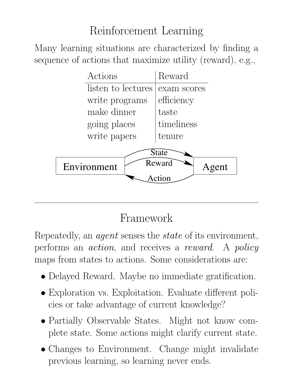#### Reinforcement Learning

Many learning situations are characterized by finding a sequence of actions that maximize utility (reward), e.g.,



#### Framework

Repeatedly, an agent senses the state of its environment, performs an action, and receives a reward. A policy maps from states to actions. Some considerations are:

- Delayed Reward. Maybe no immediate gratification.
- Exploration vs. Exploitation. Evaluate different policies or take advantage of current knowledge?
- Partially Observable States. Might not know complete state. Some actions might clarify current state.
- Changes to Environment. Change might invalidate previous learning, so learning never ends.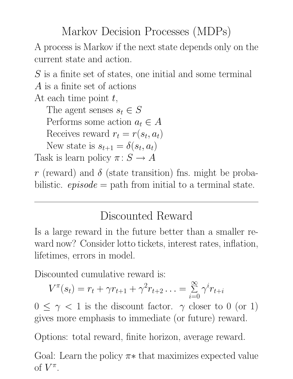#### Markov Decision Processes (MDPs)

A process is Markov if the next state depends only on the current state and action.

S is a finite set of states, one initial and some terminal A is a finite set of actions

At each time point  $t$ ,

The agent senses  $s_t \in S$ 

Performs some action  $a_t \in A$ 

Receives reward  $r_t = r(s_t, a_t)$ 

New state is  $s_{t+1} = \delta(s_t, a_t)$ 

Task is learn policy  $\pi: S \to A$ 

r (reward) and  $\delta$  (state transition) fns. might be probabilistic.  $episode = path from initial to a terminal state.$ 

#### Discounted Reward

Is a large reward in the future better than a smaller reward now? Consider lotto tickets, interest rates, inflation, lifetimes, errors in model.

Discounted cumulative reward is:

$$
V^{\pi}(s_t) = r_t + \gamma r_{t+1} + \gamma^2 r_{t+2} \ldots = \sum_{i=0}^{\infty} \gamma^i r_{t+i}
$$

 $0 \leq \gamma < 1$  is the discount factor.  $\gamma$  closer to 0 (or 1) gives more emphasis to immediate (or future) reward.

Options: total reward, finite horizon, average reward.

Goal: Learn the policy  $\pi*$  that maximizes expected value of  $V^{\pi}$ .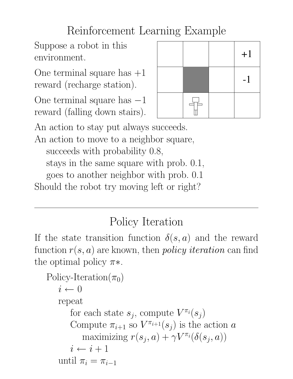## Reinforcement Learning Example

Suppose a robot in this environment.

One terminal square has  $+1$ reward (recharge station).

One terminal square has −1 reward (falling down stairs).



An action to stay put always succeeds.

An action to move to a neighbor square,

succeeds with probability 0.8,

stays in the same square with prob. 0.1,

goes to another neighbor with prob. 0.1

Should the robot try moving left or right?

## Policy Iteration

If the state transition function  $\delta(s, a)$  and the reward function  $r(s, a)$  are known, then *policy iteration* can find the optimal policy  $\pi$ \*.

```
Policy-Iteration(\pi_0)
i \leftarrow 0repeat
    for each state s_j, compute V^{\pi_i}(s_j)Compute \pi_{i+1} so V^{\pi_{i+1}}(s_j) is the action a
         maximizing r(s_j, a) + \gamma V^{\pi_i}(\delta(s_j, a))i \leftarrow i + 1until \pi_i = \pi_{i-1}
```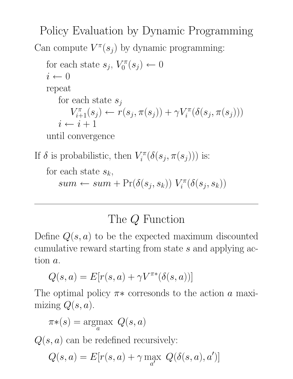Policy Evaluation by Dynamic Programming Can compute  $V^{\pi}(s_j)$  by dynamic programming:

for each state 
$$
s_j
$$
,  $V_0^{\pi}(s_j) \leftarrow 0$   
\n $i \leftarrow 0$   
\nrepeat  
\nfor each state  $s_j$   
\n $V_{i+1}^{\pi}(s_j) \leftarrow r(s_j, \pi(s_j)) + \gamma V_i^{\pi}(\delta(s_j, \pi(s_j)))$   
\n $i \leftarrow i+1$ 

until convergence

If  $\delta$  is probabilistic, then  $V_i^{\pi}$  $\mathcal{I}_{i}^{\pi}(\delta(s_j,\pi(s_j)))$  is:

for each state  $s_k$ ,  $sum \leftarrow sum + \Pr(\delta(s_j, s_k)) V_i^{\pi}$  $\mathcal{I}_i^{\pi}(\delta(s_j,s_k))$ 

#### The Q Function

Define  $Q(s, a)$  to be the expected maximum discounted cumulative reward starting from state s and applying action a.

$$
Q(s,a) = E[r(s,a) + \gamma V^{\pi*}(\delta(s,a))]
$$

The optimal policy  $\pi$ \* corresonds to the action a maximizing  $Q(s, a)$ .

$$
\pi*(s) = \underset{a}{\text{argmax}} Q(s, a)
$$

 $Q(s, a)$  can be redefined recursively:

$$
Q(s, a) = E[r(s, a) + \gamma \max_{a'} Q(\delta(s, a), a')]
$$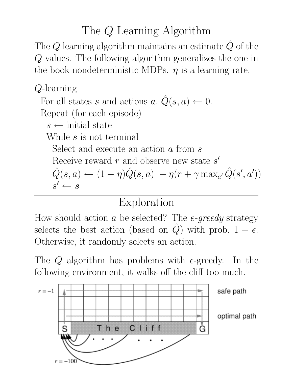#### The Q Learning Algorithm

The Q learning algorithm maintains an estimate  $\hat{Q}$  of the Q values. The following algorithm generalizes the one in the book nondeterministic MDPs.  $\eta$  is a learning rate.

# Q-learning

For all states s and actions  $a, \hat{Q}(s, a) \leftarrow 0$ . Repeat (for each episode)  $s \leftarrow$  initial state While s is not terminal Select and execute an action a from s Receive reward  $r$  and observe new state  $s'$ 

 $\hat{Q}(s, a) \leftarrow (1 - \eta) \hat{Q}(s, a) + \eta(r + \gamma \max_{a'} \hat{Q}(s', a'))$  $s' \leftarrow s$ 

# Exploration

How should action a be selected? The  $\epsilon$ -greedy strategy selects the best action (based on  $\hat{Q}$ ) with prob.  $1 - \epsilon$ . Otherwise, it randomly selects an action.

The Q algorithm has problems with  $\epsilon$ -greedy. In the following environment, it walks off the cliff too much.

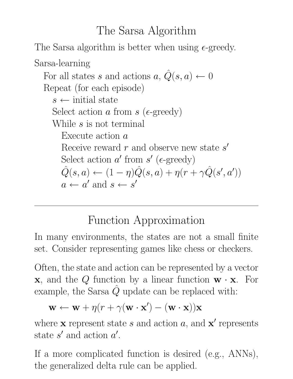#### The Sarsa Algorithm

The Sarsa algorithm is better when using  $\epsilon$ -greedy.

Sarsa-learning  
\nFor all states s and actions a, 
$$
\hat{Q}(s, a) \leftarrow 0
$$
  
\nRepeat (for each episode)  
\n $s \leftarrow$  initial state  
\nSelect action a from s (ε-greedy)  
\nWhile s is not terminal  
\nExecute action a  
\nReceive reward r and observe new state s'  
\nSelect action a' from s' (ε-greedy)  
\n $\hat{Q}(s, a) \leftarrow (1 - \eta)\hat{Q}(s, a) + \eta(r + \gamma\hat{Q}(s', a'))$   
\n $a \leftarrow a'$  and  $s \leftarrow s'$ 

#### Function Approximation

In many environments, the states are not a small finite set. Consider representing games like chess or checkers.

Often, the state and action can be represented by a vector  $x$ , and the Q function by a linear function  $w \cdot x$ . For example, the Sarsa  $\hat{Q}$  update can be replaced with:

$$
\mathbf{w} \leftarrow \mathbf{w} + \eta (r + \gamma (\mathbf{w} \cdot \mathbf{x}') - (\mathbf{w} \cdot \mathbf{x})) \mathbf{x}
$$

where **x** represent state s and action  $a$ , and **x'** represents state  $s'$  and action  $a'$ .

If a more complicated function is desired (e.g., ANNs), the generalized delta rule can be applied.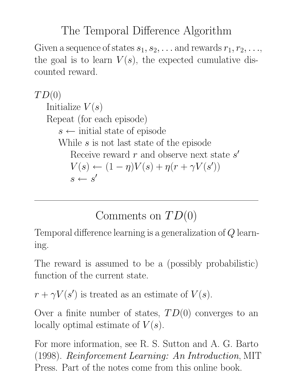#### The Temporal Difference Algorithm

Given a sequence of states  $s_1, s_2, \ldots$  and rewards  $r_1, r_2, \ldots$ , the goal is to learn  $V(s)$ , the expected cumulative discounted reward.

 $TD(0)$ Initialize  $V(s)$ Repeat (for each episode)  $s \leftarrow$  initial state of episode While s is not last state of the episode Receive reward  $r$  and observe next state  $s'$  $V(s) \leftarrow (1 - \eta)V(s) + \eta(r + \gamma V(s'))$  $s \leftarrow s'$ 

## Comments on  $TD(0)$

Temporal difference learning is a generalization of Q learning.

The reward is assumed to be a (possibly probabilistic) function of the current state.

 $r + \gamma V(s')$  is treated as an estimate of  $V(s)$ .

Over a finite number of states,  $TD(0)$  converges to an locally optimal estimate of  $V(s)$ .

For more information, see R. S. Sutton and A. G. Barto (1998). Reinforcement Learning: An Introduction, MIT Press. Part of the notes come from this online book.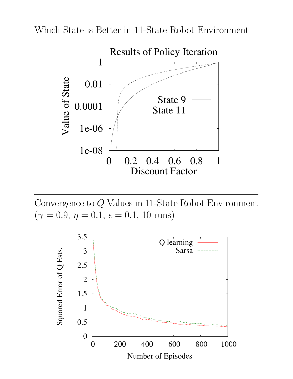Which State is Better in 11-State Robot Environment



Convergence to Q Values in 11-State Robot Environment  $(\gamma = 0.9, \eta = 0.1, \epsilon = 0.1, 10 \text{ runs})$ 

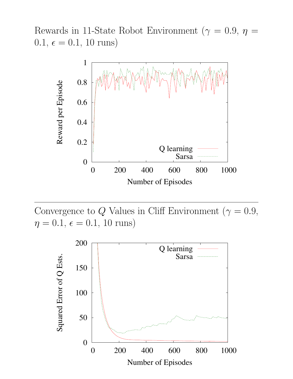Rewards in 11-State Robot Environment ( $\gamma = 0.9$ ,  $\eta =$  $0.1, \, \epsilon = 0.1, \, 10 \, \text{runs}$ 



Convergence to Q Values in Cliff Environment ( $\gamma = 0.9$ ,  $\eta = 0.1, \, \epsilon = 0.1, \, 10 \text{ runs}$ )